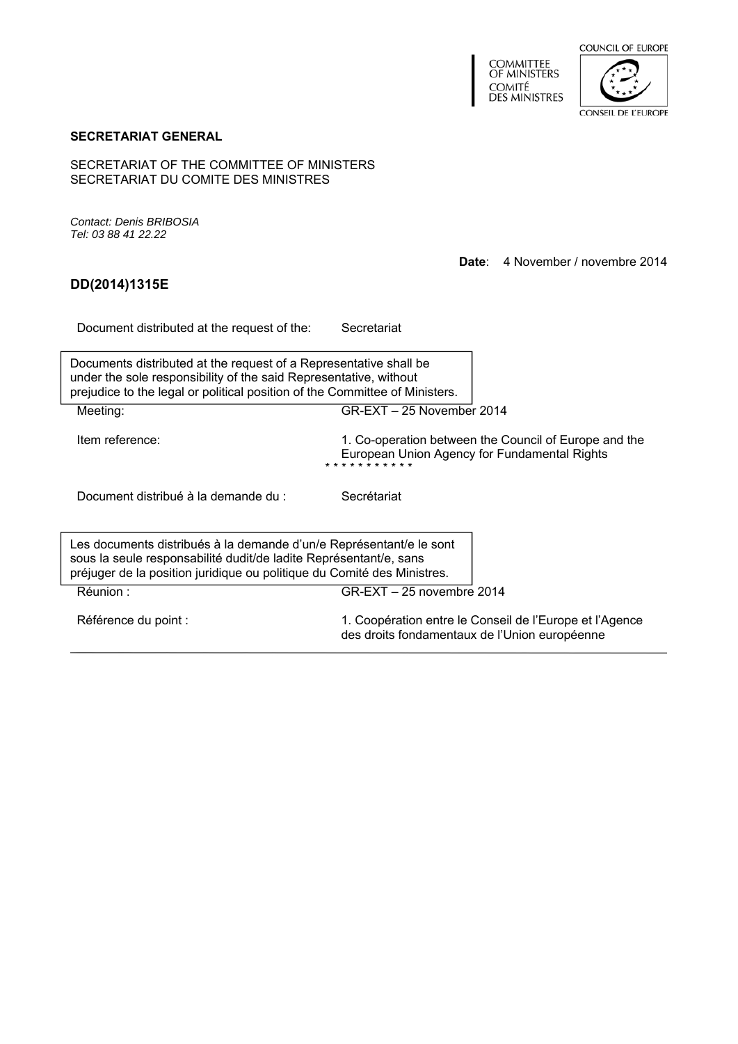



#### **SECRETARIAT GENERAL**

SECRETARIAT OF THE COMMITTEE OF MINISTERS SECRETARIAT DU COMITE DES MINISTRES

*Contact: Denis BRIBOSIA Tel: 03 88 41 22.22*

**Date**: 4 November / novembre 2014

# **DD(2014)1315E**

Document distributed at the request of the: Secretariat

Documents distributed at the request of a Representative shall be under the sole responsibility of the said Representative, without prejudice to the legal or political position of the Committee of Ministers.

Meeting: GR-EXT – 25 November 2014 Item reference: 1. Co-operation between the Council of Europe and the European Union Agency for Fundamental Rights .<br>ما به به به به به Document distribué à la demande du :<br>
Secrétariat Réunion : GR-EXT – 25 novembre 2014 Les documents distribués à la demande d'un/e Représentant/e le sont sous la seule responsabilité dudit/de ladite Représentant/e, sans préjuger de la position juridique ou politique du Comité des Ministres.

| Référence du point : | 1. Coopération entre le Conseil de l'Europe et l'Agence<br>des droits fondamentaux de l'Union européenne |
|----------------------|----------------------------------------------------------------------------------------------------------|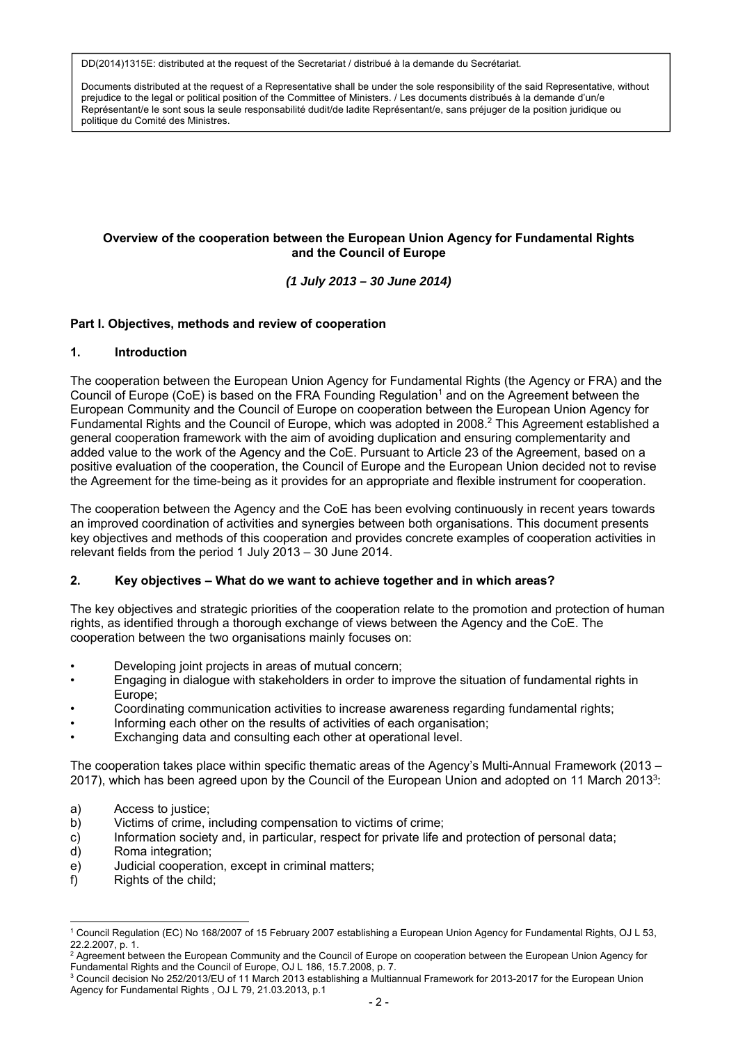Documents distributed at the request of a Representative shall be under the sole responsibility of the said Representative, without prejudice to the legal or political position of the Committee of Ministers. / Les documents distribués à la demande d'un/e Représentant/e le sont sous la seule responsabilité dudit/de ladite Représentant/e, sans préjuger de la position juridique ou politique du Comité des Ministres.

## **Overview of the cooperation between the European Union Agency for Fundamental Rights and the Council of Europe**

*(1 July 2013 – 30 June 2014)* 

## **Part I. Objectives, methods and review of cooperation**

### **1. Introduction**

The cooperation between the European Union Agency for Fundamental Rights (the Agency or FRA) and the Council of Europe (CoE) is based on the FRA Founding Regulation<sup>1</sup> and on the Agreement between the European Community and the Council of Europe on cooperation between the European Union Agency for Fundamental Rights and the Council of Europe, which was adopted in 2008.2 This Agreement established a general cooperation framework with the aim of avoiding duplication and ensuring complementarity and added value to the work of the Agency and the CoE. Pursuant to Article 23 of the Agreement, based on a positive evaluation of the cooperation, the Council of Europe and the European Union decided not to revise the Agreement for the time-being as it provides for an appropriate and flexible instrument for cooperation.

The cooperation between the Agency and the CoE has been evolving continuously in recent years towards an improved coordination of activities and synergies between both organisations. This document presents key objectives and methods of this cooperation and provides concrete examples of cooperation activities in relevant fields from the period 1 July 2013 – 30 June 2014.

## **2. Key objectives – What do we want to achieve together and in which areas?**

The key objectives and strategic priorities of the cooperation relate to the promotion and protection of human rights, as identified through a thorough exchange of views between the Agency and the CoE. The cooperation between the two organisations mainly focuses on:

- Developing joint projects in areas of mutual concern;
- Engaging in dialogue with stakeholders in order to improve the situation of fundamental rights in Europe;
- Coordinating communication activities to increase awareness regarding fundamental rights;
- Informing each other on the results of activities of each organisation;
- Exchanging data and consulting each other at operational level.

The cooperation takes place within specific thematic areas of the Agency's Multi-Annual Framework (2013 – 2017), which has been agreed upon by the Council of the European Union and adopted on 11 March 20133:

- a) Access to justice;
- b) Victims of crime, including compensation to victims of crime;
- c) Information society and, in particular, respect for private life and protection of personal data;
- d) Roma integration;
- e) Judicial cooperation, except in criminal matters;
- f) Rights of the child;

l 1 Council Regulation (EC) No 168/2007 of 15 February 2007 establishing a European Union Agency for Fundamental Rights, OJ L 53, 22.2.2007, p. 1.

<sup>&</sup>lt;sup>2</sup> Agreement between the European Community and the Council of Europe on cooperation between the European Union Agency for Fundamental Rights and the Council of Europe, OJ L 186, 15.7.2008, p. 7.

<sup>&</sup>lt;sup>3</sup> Council decision No 252/2013/EU of 11 March 2013 establishing a Multiannual Framework for 2013-2017 for the European Union Agency for Fundamental Rights , OJ L 79, 21.03.2013, p.1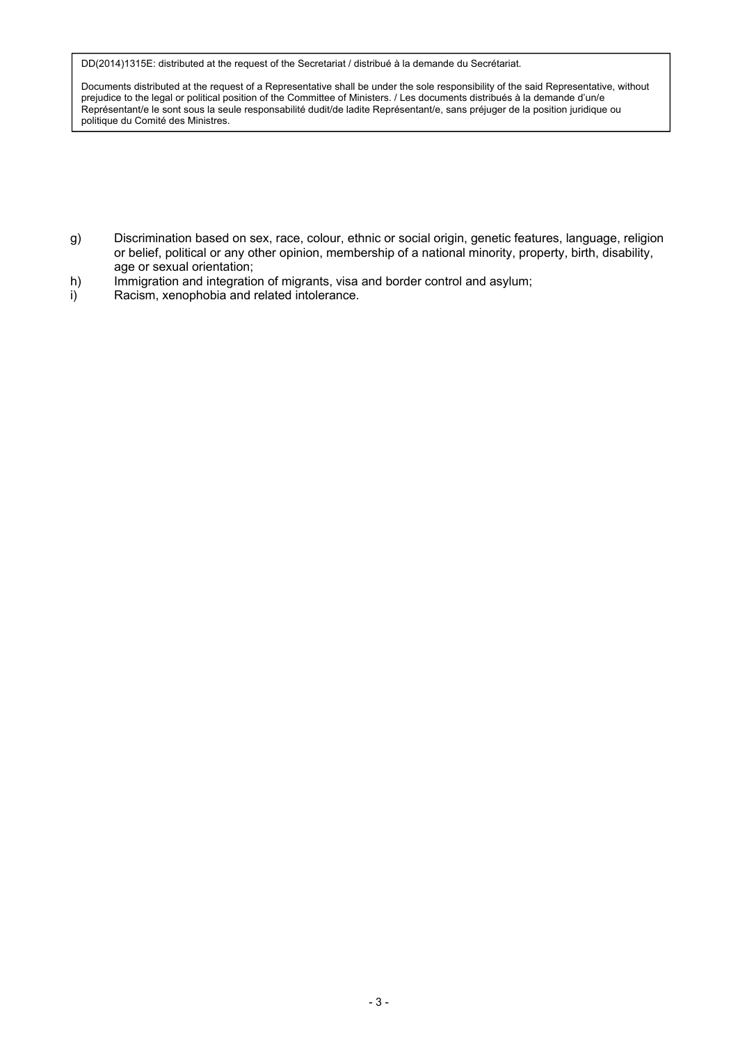Documents distributed at the request of a Representative shall be under the sole responsibility of the said Representative, without prejudice to the legal or political position of the Committee of Ministers. / Les documents distribués à la demande d'un/e Représentant/e le sont sous la seule responsabilité dudit/de ladite Représentant/e, sans préjuger de la position juridique ou politique du Comité des Ministres.

- g) Discrimination based on sex, race, colour, ethnic or social origin, genetic features, language, religion or belief, political or any other opinion, membership of a national minority, property, birth, disability, age or sexual orientation;
- h) Immigration and integration of migrants, visa and border control and asylum;<br>i) Racism. xenophobia and related intolerance.
- Racism, xenophobia and related intolerance.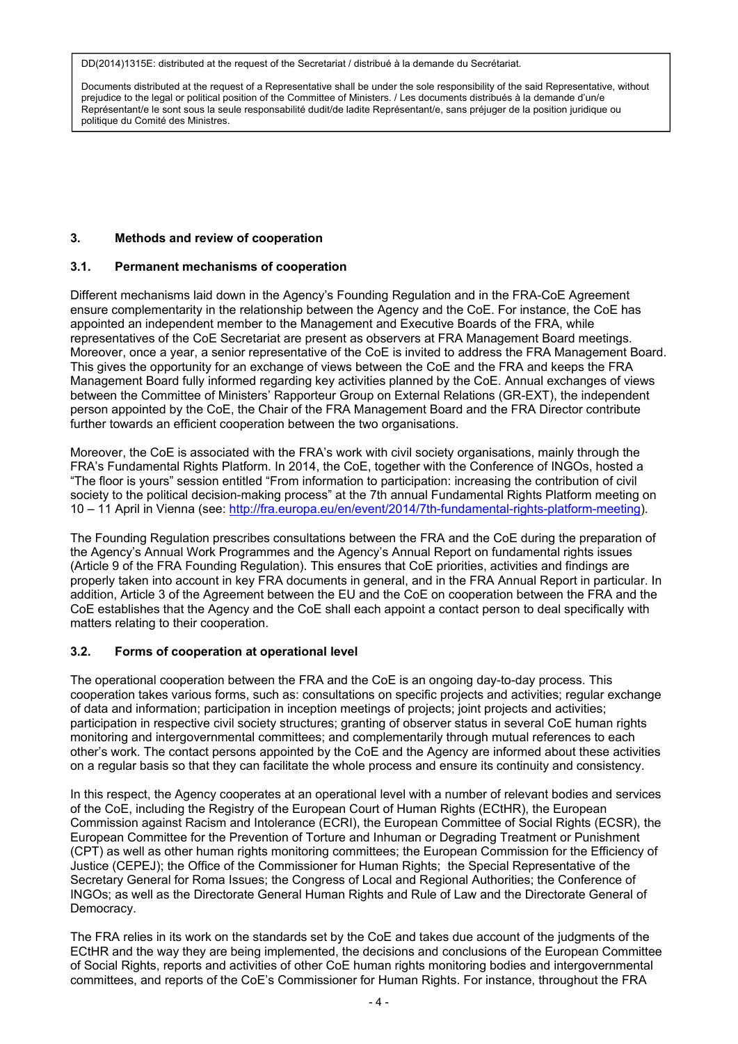Documents distributed at the request of a Representative shall be under the sole responsibility of the said Representative, without prejudice to the legal or political position of the Committee of Ministers. / Les documents distribués à la demande d'un/e Représentant/e le sont sous la seule responsabilité dudit/de ladite Représentant/e, sans préjuger de la position juridique ou politique du Comité des Ministres.

## **3. Methods and review of cooperation**

# **3.1. Permanent mechanisms of cooperation**

Different mechanisms laid down in the Agency's Founding Regulation and in the FRA-CoE Agreement ensure complementarity in the relationship between the Agency and the CoE. For instance, the CoE has appointed an independent member to the Management and Executive Boards of the FRA, while representatives of the CoE Secretariat are present as observers at FRA Management Board meetings. Moreover, once a year, a senior representative of the CoE is invited to address the FRA Management Board. This gives the opportunity for an exchange of views between the CoE and the FRA and keeps the FRA Management Board fully informed regarding key activities planned by the CoE. Annual exchanges of views between the Committee of Ministers' Rapporteur Group on External Relations (GR-EXT), the independent person appointed by the CoE, the Chair of the FRA Management Board and the FRA Director contribute further towards an efficient cooperation between the two organisations.

Moreover, the CoE is associated with the FRA's work with civil society organisations, mainly through the FRA's Fundamental Rights Platform. In 2014, the CoE, together with the Conference of INGOs, hosted a "The floor is yours" session entitled "From information to participation: increasing the contribution of civil society to the political decision-making process" at the 7th annual Fundamental Rights Platform meeting on 10 – 11 April in Vienna (see: http://fra.europa.eu/en/event/2014/7th-fundamental-rights-platform-meeting).

The Founding Regulation prescribes consultations between the FRA and the CoE during the preparation of the Agency's Annual Work Programmes and the Agency's Annual Report on fundamental rights issues (Article 9 of the FRA Founding Regulation). This ensures that CoE priorities, activities and findings are properly taken into account in key FRA documents in general, and in the FRA Annual Report in particular. In addition, Article 3 of the Agreement between the EU and the CoE on cooperation between the FRA and the CoE establishes that the Agency and the CoE shall each appoint a contact person to deal specifically with matters relating to their cooperation.

## **3.2. Forms of cooperation at operational level**

The operational cooperation between the FRA and the CoE is an ongoing day-to-day process. This cooperation takes various forms, such as: consultations on specific projects and activities; regular exchange of data and information; participation in inception meetings of projects; joint projects and activities; participation in respective civil society structures; granting of observer status in several CoE human rights monitoring and intergovernmental committees; and complementarily through mutual references to each other's work. The contact persons appointed by the CoE and the Agency are informed about these activities on a regular basis so that they can facilitate the whole process and ensure its continuity and consistency.

In this respect, the Agency cooperates at an operational level with a number of relevant bodies and services of the CoE, including the Registry of the European Court of Human Rights (ECtHR), the European Commission against Racism and Intolerance (ECRI), the European Committee of Social Rights (ECSR), the European Committee for the Prevention of Torture and Inhuman or Degrading Treatment or Punishment (CPT) as well as other human rights monitoring committees; the European Commission for the Efficiency of Justice (CEPEJ); the Office of the Commissioner for Human Rights; the Special Representative of the Secretary General for Roma Issues; the Congress of Local and Regional Authorities; the Conference of INGOs; as well as the Directorate General Human Rights and Rule of Law and the Directorate General of Democracy.

The FRA relies in its work on the standards set by the CoE and takes due account of the judgments of the ECtHR and the way they are being implemented, the decisions and conclusions of the European Committee of Social Rights, reports and activities of other CoE human rights monitoring bodies and intergovernmental committees, and reports of the CoE's Commissioner for Human Rights. For instance, throughout the FRA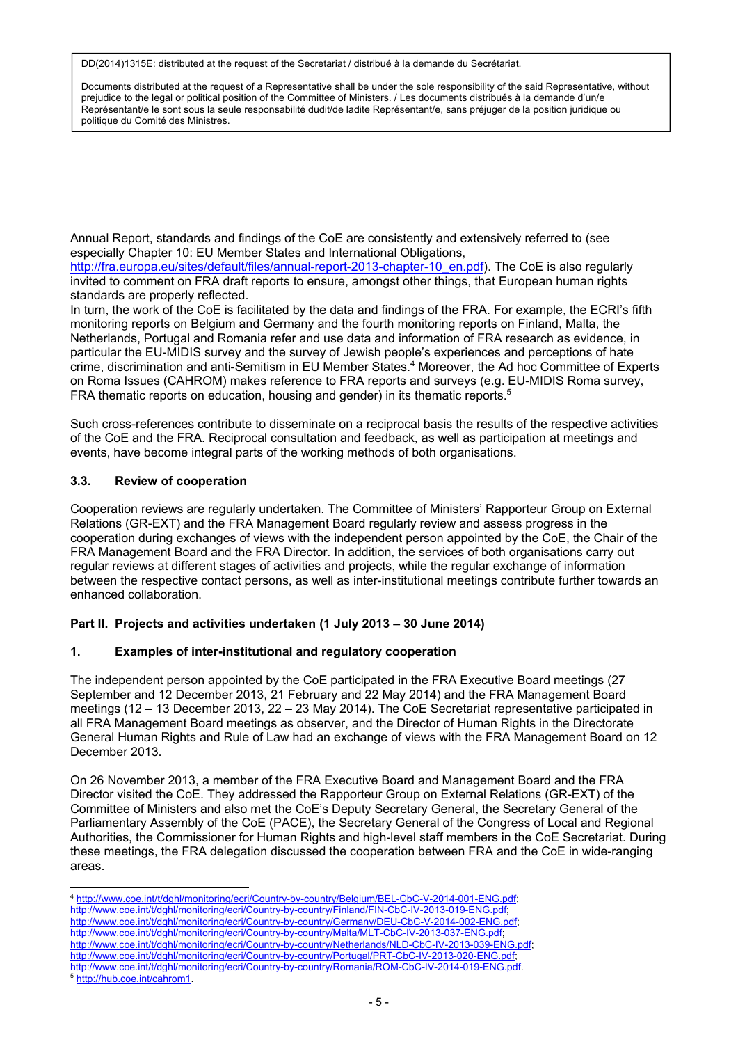Documents distributed at the request of a Representative shall be under the sole responsibility of the said Representative, without prejudice to the legal or political position of the Committee of Ministers. / Les documents distribués à la demande d'un/e Représentant/e le sont sous la seule responsabilité dudit/de ladite Représentant/e, sans préjuger de la position juridique ou politique du Comité des Ministres.

Annual Report, standards and findings of the CoE are consistently and extensively referred to (see especially Chapter 10: EU Member States and International Obligations,

http://fra.europa.eu/sites/default/files/annual-report-2013-chapter-10\_en.pdf). The CoE is also regularly invited to comment on FRA draft reports to ensure, amongst other things, that European human rights standards are properly reflected.

In turn, the work of the CoE is facilitated by the data and findings of the FRA. For example, the ECRI's fifth monitoring reports on Belgium and Germany and the fourth monitoring reports on Finland, Malta, the Netherlands, Portugal and Romania refer and use data and information of FRA research as evidence, in particular the EU-MIDIS survey and the survey of Jewish people's experiences and perceptions of hate crime, discrimination and anti-Semitism in EU Member States.4 Moreover, the Ad hoc Committee of Experts on Roma Issues (CAHROM) makes reference to FRA reports and surveys (e.g. EU-MIDIS Roma survey, FRA thematic reports on education, housing and gender) in its thematic reports.<sup>5</sup>

Such cross-references contribute to disseminate on a reciprocal basis the results of the respective activities of the CoE and the FRA. Reciprocal consultation and feedback, as well as participation at meetings and events, have become integral parts of the working methods of both organisations.

# **3.3. Review of cooperation**

Cooperation reviews are regularly undertaken. The Committee of Ministers' Rapporteur Group on External Relations (GR-EXT) and the FRA Management Board regularly review and assess progress in the cooperation during exchanges of views with the independent person appointed by the CoE, the Chair of the FRA Management Board and the FRA Director. In addition, the services of both organisations carry out regular reviews at different stages of activities and projects, while the regular exchange of information between the respective contact persons, as well as inter-institutional meetings contribute further towards an enhanced collaboration.

## **Part II. Projects and activities undertaken (1 July 2013 – 30 June 2014)**

## **1. Examples of inter-institutional and regulatory cooperation**

The independent person appointed by the CoE participated in the FRA Executive Board meetings (27 September and 12 December 2013, 21 February and 22 May 2014) and the FRA Management Board meetings (12 – 13 December 2013, 22 – 23 May 2014). The CoE Secretariat representative participated in all FRA Management Board meetings as observer, and the Director of Human Rights in the Directorate General Human Rights and Rule of Law had an exchange of views with the FRA Management Board on 12 December 2013.

On 26 November 2013, a member of the FRA Executive Board and Management Board and the FRA Director visited the CoE. They addressed the Rapporteur Group on External Relations (GR-EXT) of the Committee of Ministers and also met the CoE's Deputy Secretary General, the Secretary General of the Parliamentary Assembly of the CoE (PACE), the Secretary General of the Congress of Local and Regional Authorities, the Commissioner for Human Rights and high-level staff members in the CoE Secretariat. During these meetings, the FRA delegation discussed the cooperation between FRA and the CoE in wide-ranging areas.

l <sup>4</sup> http://www.coe.int/t/dghl/monitoring/ecri/Country-by-country/Belgium/BEL-CbC-V-2014-001-ENG.pdf; http://www.coe.int/t/dghl/monitoring/ecri/Country-by-country/Finland/FIN-CbC-IV-2013-019-ENG.pdf; http://www.coe.int/t/dghl/monitoring/ecri/Country-by-country/Germany/DEU-CbC-V-2014-002-ENG.pdf; http://www.coe.int/t/dghl/monitoring/ecri/Country-by-country/Malta/MLT-CbC-IV-2013-037-ENG.pdf; http://www.coe.int/t/dghl/monitoring/ecri/Country-by-country/Netherlands/NLD-CbC-IV-2013-039-ENG.pdf; http://www.coe.int/t/dghl/monitoring/ecri/Country-by-country/Portugal/PRT-CbC-IV-2013-020-ENG.pdf; http://www.coe.int/t/dghl/monitoring/ecri/Country-by-country/Romania/ROM-CbC-IV-2014-019-ENG.pdf. 5 http://hub.coe.int/cahrom1.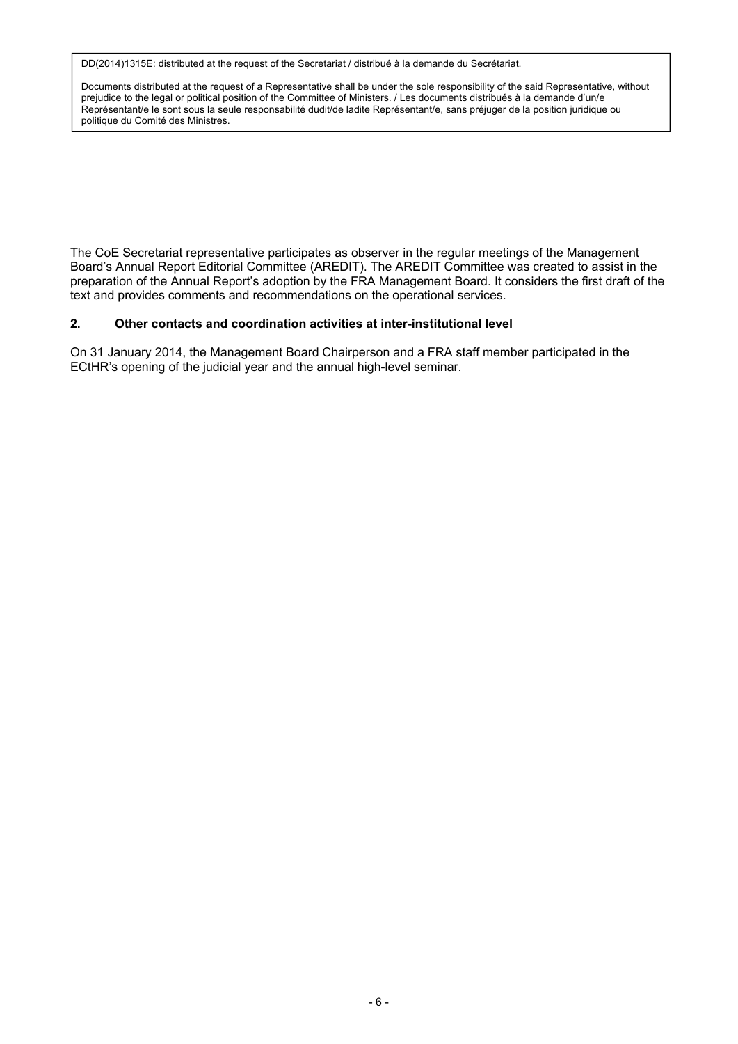Documents distributed at the request of a Representative shall be under the sole responsibility of the said Representative, without prejudice to the legal or political position of the Committee of Ministers. / Les documents distribués à la demande d'un/e Représentant/e le sont sous la seule responsabilité dudit/de ladite Représentant/e, sans préjuger de la position juridique ou politique du Comité des Ministres.

The CoE Secretariat representative participates as observer in the regular meetings of the Management Board's Annual Report Editorial Committee (AREDIT). The AREDIT Committee was created to assist in the preparation of the Annual Report's adoption by the FRA Management Board. It considers the first draft of the text and provides comments and recommendations on the operational services.

#### **2. Other contacts and coordination activities at inter-institutional level**

On 31 January 2014, the Management Board Chairperson and a FRA staff member participated in the ECtHR's opening of the judicial year and the annual high-level seminar.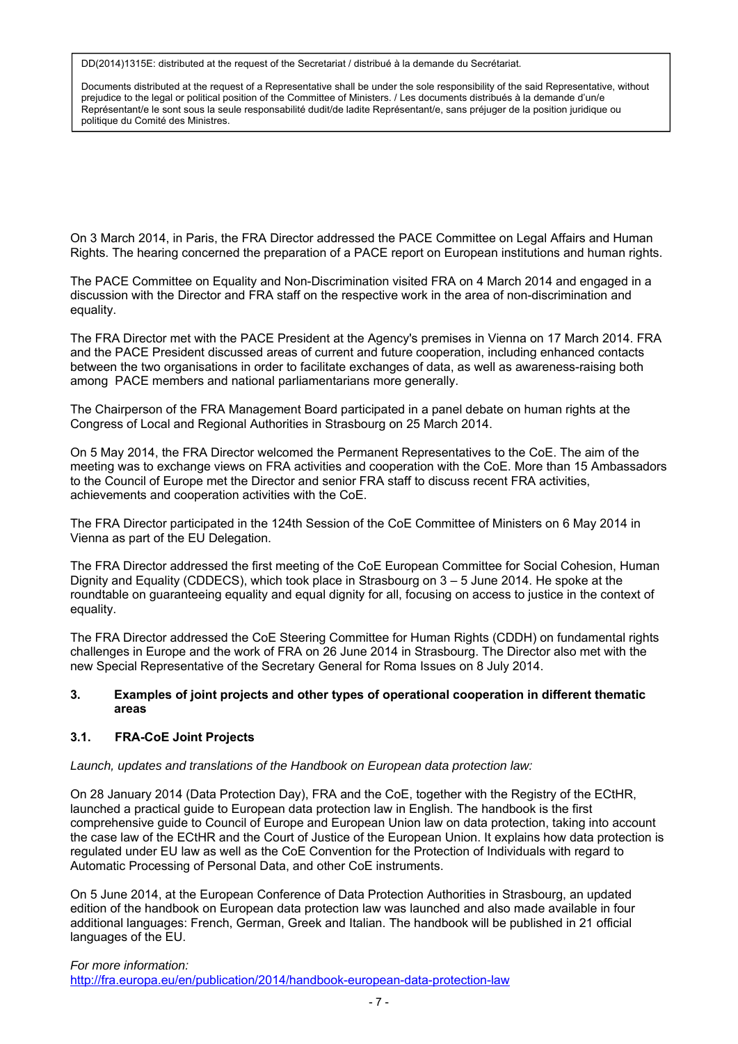Documents distributed at the request of a Representative shall be under the sole responsibility of the said Representative, without prejudice to the legal or political position of the Committee of Ministers. / Les documents distribués à la demande d'un/e Représentant/e le sont sous la seule responsabilité dudit/de ladite Représentant/e, sans préjuger de la position juridique ou politique du Comité des Ministres.

On 3 March 2014, in Paris, the FRA Director addressed the PACE Committee on Legal Affairs and Human Rights. The hearing concerned the preparation of a PACE report on European institutions and human rights.

The PACE Committee on Equality and Non-Discrimination visited FRA on 4 March 2014 and engaged in a discussion with the Director and FRA staff on the respective work in the area of non-discrimination and equality.

The FRA Director met with the PACE President at the Agency's premises in Vienna on 17 March 2014. FRA and the PACE President discussed areas of current and future cooperation, including enhanced contacts between the two organisations in order to facilitate exchanges of data, as well as awareness-raising both among PACE members and national parliamentarians more generally.

The Chairperson of the FRA Management Board participated in a panel debate on human rights at the Congress of Local and Regional Authorities in Strasbourg on 25 March 2014.

On 5 May 2014, the FRA Director welcomed the Permanent Representatives to the CoE. The aim of the meeting was to exchange views on FRA activities and cooperation with the CoE. More than 15 Ambassadors to the Council of Europe met the Director and senior FRA staff to discuss recent FRA activities, achievements and cooperation activities with the CoE.

The FRA Director participated in the 124th Session of the CoE Committee of Ministers on 6 May 2014 in Vienna as part of the EU Delegation.

The FRA Director addressed the first meeting of the CoE European Committee for Social Cohesion, Human Dignity and Equality (CDDECS), which took place in Strasbourg on 3 – 5 June 2014. He spoke at the roundtable on guaranteeing equality and equal dignity for all, focusing on access to justice in the context of equality.

The FRA Director addressed the CoE Steering Committee for Human Rights (CDDH) on fundamental rights challenges in Europe and the work of FRA on 26 June 2014 in Strasbourg. The Director also met with the new Special Representative of the Secretary General for Roma Issues on 8 July 2014.

#### **3. Examples of joint projects and other types of operational cooperation in different thematic areas**

## **3.1. FRA-CoE Joint Projects**

*Launch, updates and translations of the Handbook on European data protection law:* 

On 28 January 2014 (Data Protection Day), FRA and the CoE, together with the Registry of the ECtHR, launched a practical guide to European data protection law in English. The handbook is the first comprehensive guide to Council of Europe and European Union law on data protection, taking into account the case law of the ECtHR and the Court of Justice of the European Union. It explains how data protection is regulated under EU law as well as the CoE Convention for the Protection of Individuals with regard to Automatic Processing of Personal Data, and other CoE instruments.

On 5 June 2014, at the European Conference of Data Protection Authorities in Strasbourg, an updated edition of the handbook on European data protection law was launched and also made available in four additional languages: French, German, Greek and Italian. The handbook will be published in 21 official languages of the EU.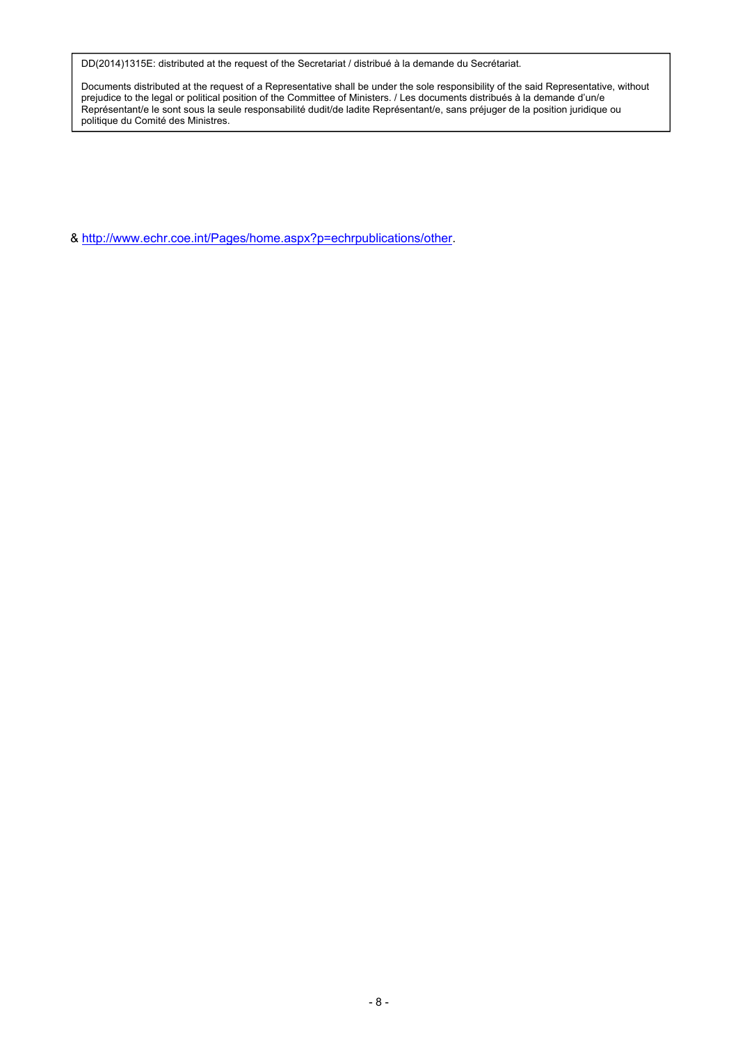Documents distributed at the request of a Representative shall be under the sole responsibility of the said Representative, without prejudice to the legal or political position of the Committee of Ministers. / Les documents distribués à la demande d'un/e Représentant/e le sont sous la seule responsabilité dudit/de ladite Représentant/e, sans préjuger de la position juridique ou politique du Comité des Ministres.

& http://www.echr.coe.int/Pages/home.aspx?p=echrpublications/other.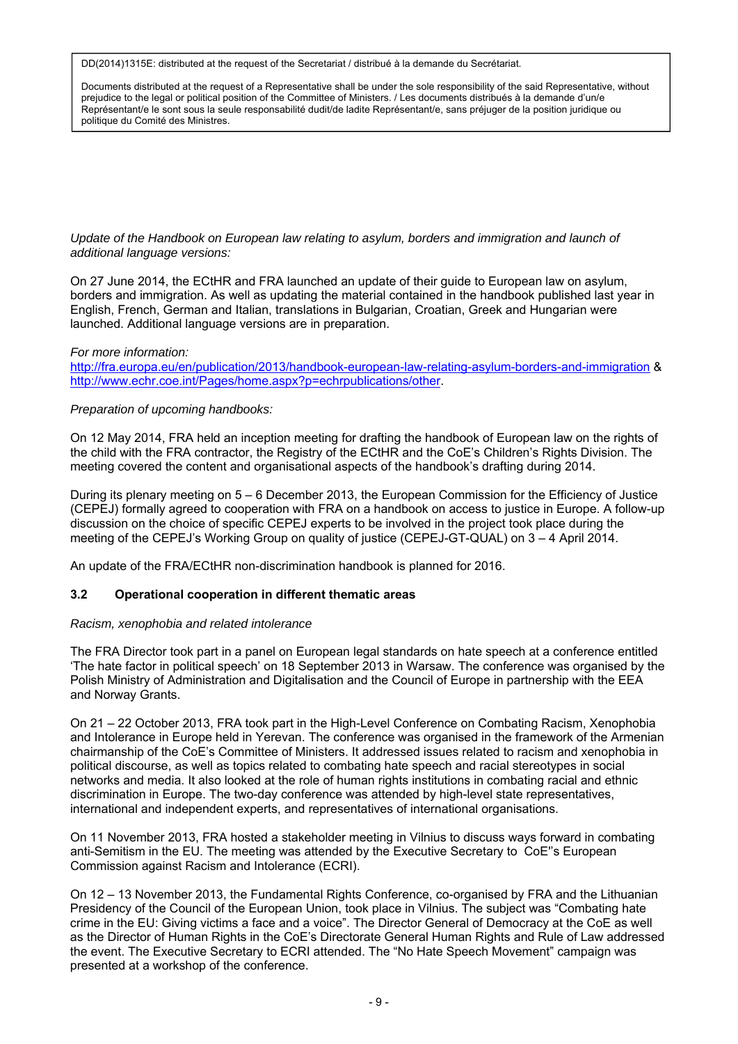Documents distributed at the request of a Representative shall be under the sole responsibility of the said Representative, without prejudice to the legal or political position of the Committee of Ministers. / Les documents distribués à la demande d'un/e Représentant/e le sont sous la seule responsabilité dudit/de ladite Représentant/e, sans préjuger de la position juridique ou politique du Comité des Ministres.

Update of the Handbook on European law relating to asylum, borders and immigration and launch of *additional language versions:* 

On 27 June 2014, the ECtHR and FRA launched an update of their guide to European law on asylum, borders and immigration. As well as updating the material contained in the handbook published last year in English, French, German and Italian, translations in Bulgarian, Croatian, Greek and Hungarian were launched. Additional language versions are in preparation.

#### *For more information:*

http://fra.europa.eu/en/publication/2013/handbook-european-law-relating-asylum-borders-and-immigration & http://www.echr.coe.int/Pages/home.aspx?p=echrpublications/other.

### *Preparation of upcoming handbooks:*

On 12 May 2014, FRA held an inception meeting for drafting the handbook of European law on the rights of the child with the FRA contractor, the Registry of the ECtHR and the CoE's Children's Rights Division. The meeting covered the content and organisational aspects of the handbook's drafting during 2014.

During its plenary meeting on 5 – 6 December 2013, the European Commission for the Efficiency of Justice (CEPEJ) formally agreed to cooperation with FRA on a handbook on access to justice in Europe. A follow-up discussion on the choice of specific CEPEJ experts to be involved in the project took place during the meeting of the CEPEJ's Working Group on quality of justice (CEPEJ-GT-QUAL) on 3 – 4 April 2014.

An update of the FRA/ECtHR non-discrimination handbook is planned for 2016.

## **3.2 Operational cooperation in different thematic areas**

#### *Racism, xenophobia and related intolerance*

The FRA Director took part in a panel on European legal standards on hate speech at a conference entitled 'The hate factor in political speech' on 18 September 2013 in Warsaw. The conference was organised by the Polish Ministry of Administration and Digitalisation and the Council of Europe in partnership with the EEA and Norway Grants.

On 21 – 22 October 2013, FRA took part in the High-Level Conference on Combating Racism, Xenophobia and Intolerance in Europe held in Yerevan. The conference was organised in the framework of the Armenian chairmanship of the CoE's Committee of Ministers. It addressed issues related to racism and xenophobia in political discourse, as well as topics related to combating hate speech and racial stereotypes in social networks and media. It also looked at the role of human rights institutions in combating racial and ethnic discrimination in Europe. The two-day conference was attended by high-level state representatives, international and independent experts, and representatives of international organisations.

On 11 November 2013, FRA hosted a stakeholder meeting in Vilnius to discuss ways forward in combating anti-Semitism in the EU. The meeting was attended by the Executive Secretary to CoE''s European Commission against Racism and Intolerance (ECRI).

On 12 – 13 November 2013, the Fundamental Rights Conference, co-organised by FRA and the Lithuanian Presidency of the Council of the European Union, took place in Vilnius. The subject was "Combating hate crime in the EU: Giving victims a face and a voice". The Director General of Democracy at the CoE as well as the Director of Human Rights in the CoE's Directorate General Human Rights and Rule of Law addressed the event. The Executive Secretary to ECRI attended. The "No Hate Speech Movement" campaign was presented at a workshop of the conference.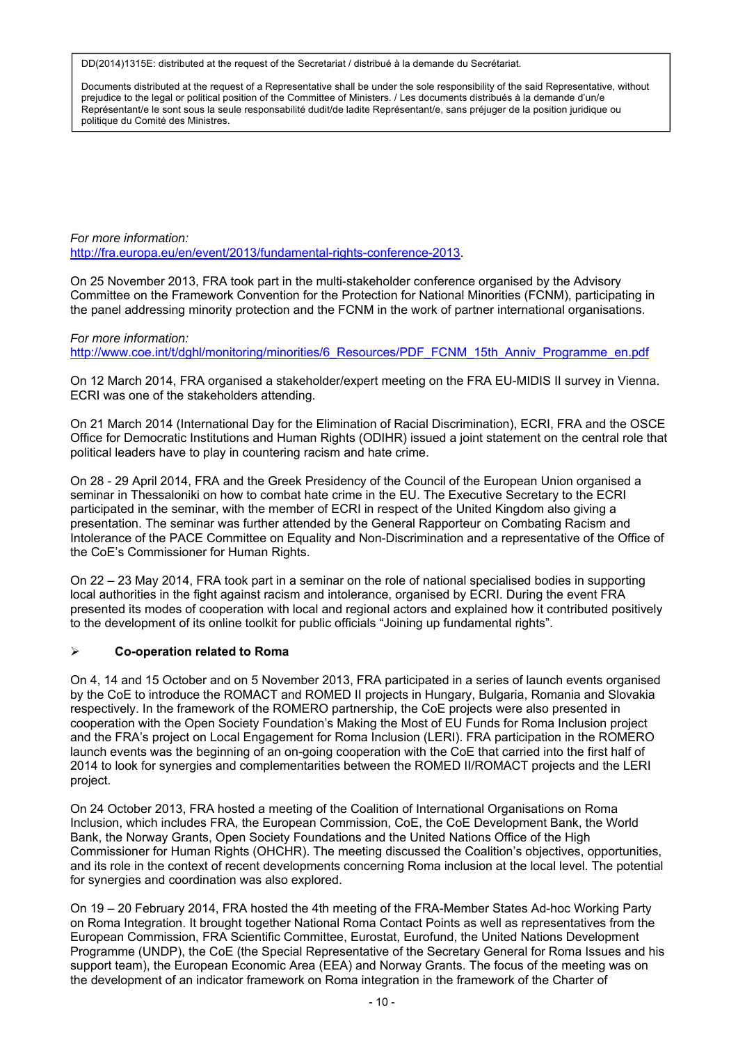Documents distributed at the request of a Representative shall be under the sole responsibility of the said Representative, without prejudice to the legal or political position of the Committee of Ministers. / Les documents distribués à la demande d'un/e Représentant/e le sont sous la seule responsabilité dudit/de ladite Représentant/e, sans préjuger de la position juridique ou politique du Comité des Ministres.

*For more information:*  http://fra.europa.eu/en/event/2013/fundamental-rights-conference-2013.

On 25 November 2013, FRA took part in the multi-stakeholder conference organised by the Advisory Committee on the Framework Convention for the Protection for National Minorities (FCNM), participating in the panel addressing minority protection and the FCNM in the work of partner international organisations.

*For more information:*  http://www.coe.int/t/dghl/monitoring/minorities/6\_Resources/PDF\_FCNM\_15th\_Anniv\_Programme\_en.pdf

On 12 March 2014, FRA organised a stakeholder/expert meeting on the FRA EU-MIDIS II survey in Vienna. ECRI was one of the stakeholders attending.

On 21 March 2014 (International Day for the Elimination of Racial Discrimination), ECRI, FRA and the OSCE Office for Democratic Institutions and Human Rights (ODIHR) issued a joint statement on the central role that political leaders have to play in countering racism and hate crime.

On 28 - 29 April 2014, FRA and the Greek Presidency of the Council of the European Union organised a seminar in Thessaloniki on how to combat hate crime in the EU. The Executive Secretary to the ECRI participated in the seminar, with the member of ECRI in respect of the United Kingdom also giving a presentation. The seminar was further attended by the General Rapporteur on Combating Racism and Intolerance of the PACE Committee on Equality and Non-Discrimination and a representative of the Office of the CoE's Commissioner for Human Rights.

On 22 – 23 May 2014, FRA took part in a seminar on the role of national specialised bodies in supporting local authorities in the fight against racism and intolerance, organised by ECRI. During the event FRA presented its modes of cooperation with local and regional actors and explained how it contributed positively to the development of its online toolkit for public officials "Joining up fundamental rights".

## **Co-operation related to Roma**

On 4, 14 and 15 October and on 5 November 2013, FRA participated in a series of launch events organised by the CoE to introduce the ROMACT and ROMED II projects in Hungary, Bulgaria, Romania and Slovakia respectively. In the framework of the ROMERO partnership, the CoE projects were also presented in cooperation with the Open Society Foundation's Making the Most of EU Funds for Roma Inclusion project and the FRA's project on Local Engagement for Roma Inclusion (LERI). FRA participation in the ROMERO launch events was the beginning of an on-going cooperation with the CoE that carried into the first half of 2014 to look for synergies and complementarities between the ROMED II/ROMACT projects and the LERI project.

On 24 October 2013, FRA hosted a meeting of the Coalition of International Organisations on Roma Inclusion, which includes FRA, the European Commission, CoE, the CoE Development Bank, the World Bank, the Norway Grants, Open Society Foundations and the United Nations Office of the High Commissioner for Human Rights (OHCHR). The meeting discussed the Coalition's objectives, opportunities, and its role in the context of recent developments concerning Roma inclusion at the local level. The potential for synergies and coordination was also explored.

On 19 – 20 February 2014, FRA hosted the 4th meeting of the FRA-Member States Ad-hoc Working Party on Roma Integration. It brought together National Roma Contact Points as well as representatives from the European Commission, FRA Scientific Committee, Eurostat, Eurofund, the United Nations Development Programme (UNDP), the CoE (the Special Representative of the Secretary General for Roma Issues and his support team), the European Economic Area (EEA) and Norway Grants. The focus of the meeting was on the development of an indicator framework on Roma integration in the framework of the Charter of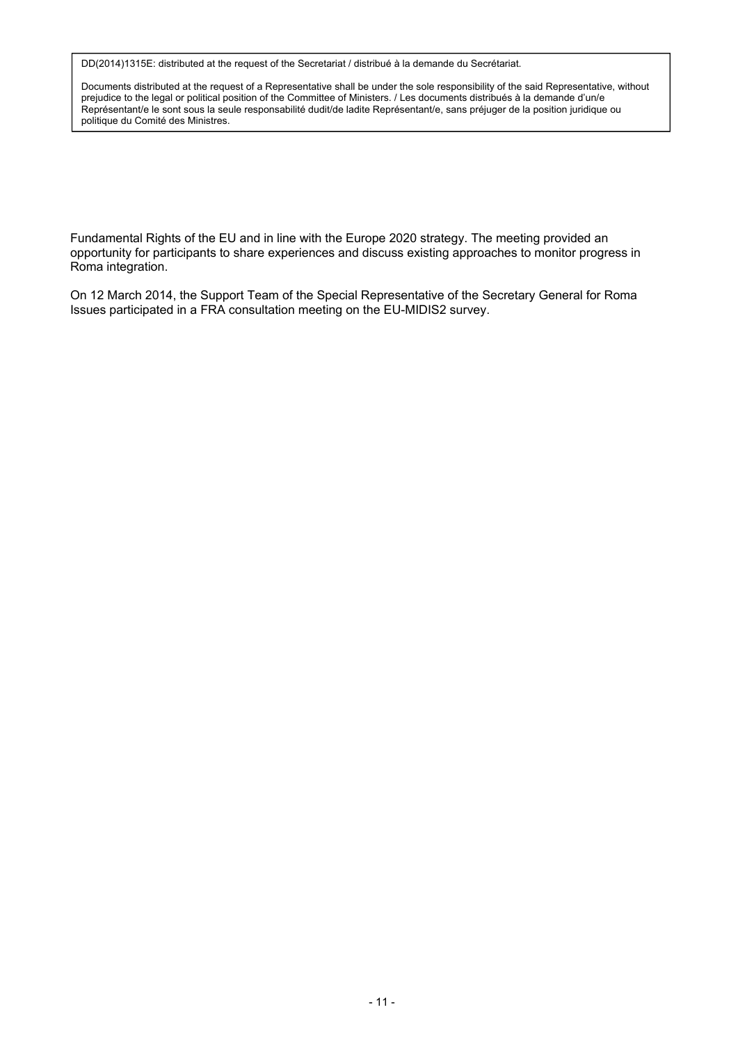Documents distributed at the request of a Representative shall be under the sole responsibility of the said Representative, without prejudice to the legal or political position of the Committee of Ministers. / Les documents distribués à la demande d'un/e Représentant/e le sont sous la seule responsabilité dudit/de ladite Représentant/e, sans préjuger de la position juridique ou politique du Comité des Ministres.

Fundamental Rights of the EU and in line with the Europe 2020 strategy. The meeting provided an opportunity for participants to share experiences and discuss existing approaches to monitor progress in Roma integration.

On 12 March 2014, the Support Team of the Special Representative of the Secretary General for Roma Issues participated in a FRA consultation meeting on the EU-MIDIS2 survey.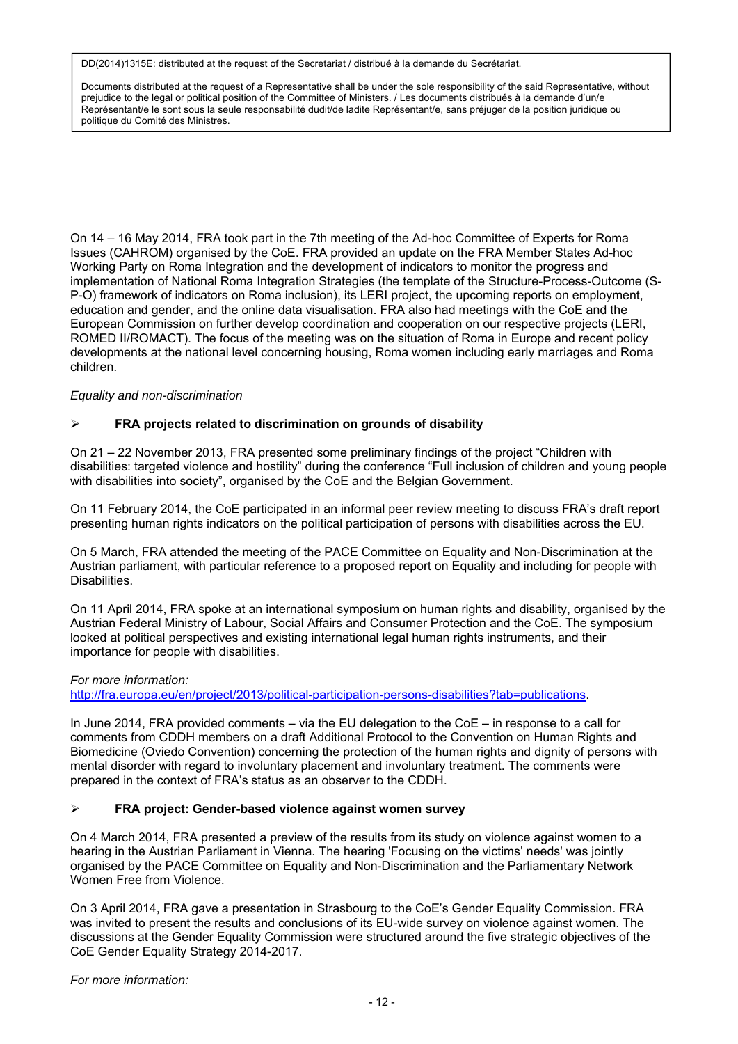Documents distributed at the request of a Representative shall be under the sole responsibility of the said Representative, without prejudice to the legal or political position of the Committee of Ministers. / Les documents distribués à la demande d'un/e Représentant/e le sont sous la seule responsabilité dudit/de ladite Représentant/e, sans préjuger de la position juridique ou politique du Comité des Ministres.

On 14 – 16 May 2014, FRA took part in the 7th meeting of the Ad-hoc Committee of Experts for Roma Issues (CAHROM) organised by the CoE. FRA provided an update on the FRA Member States Ad-hoc Working Party on Roma Integration and the development of indicators to monitor the progress and implementation of National Roma Integration Strategies (the template of the Structure-Process-Outcome (S-P-O) framework of indicators on Roma inclusion), its LERI project, the upcoming reports on employment, education and gender, and the online data visualisation. FRA also had meetings with the CoE and the European Commission on further develop coordination and cooperation on our respective projects (LERI, ROMED II/ROMACT). The focus of the meeting was on the situation of Roma in Europe and recent policy developments at the national level concerning housing, Roma women including early marriages and Roma children.

#### *Equality and non-discrimination*

#### **FRA projects related to discrimination on grounds of disability**

On 21 – 22 November 2013, FRA presented some preliminary findings of the project "Children with disabilities: targeted violence and hostility" during the conference "Full inclusion of children and young people with disabilities into society", organised by the CoE and the Belgian Government.

On 11 February 2014, the CoE participated in an informal peer review meeting to discuss FRA's draft report presenting human rights indicators on the political participation of persons with disabilities across the EU.

On 5 March, FRA attended the meeting of the PACE Committee on Equality and Non-Discrimination at the Austrian parliament, with particular reference to a proposed report on Equality and including for people with Disabilities.

On 11 April 2014, FRA spoke at an international symposium on human rights and disability, organised by the Austrian Federal Ministry of Labour, Social Affairs and Consumer Protection and the CoE. The symposium looked at political perspectives and existing international legal human rights instruments, and their importance for people with disabilities.

#### *For more information:*

http://fra.europa.eu/en/project/2013/political-participation-persons-disabilities?tab=publications.

In June 2014, FRA provided comments – via the EU delegation to the CoE – in response to a call for comments from CDDH members on a draft Additional Protocol to the Convention on Human Rights and Biomedicine (Oviedo Convention) concerning the protection of the human rights and dignity of persons with mental disorder with regard to involuntary placement and involuntary treatment. The comments were prepared in the context of FRA's status as an observer to the CDDH.

## **FRA project: Gender-based violence against women survey**

On 4 March 2014, FRA presented a preview of the results from its study on violence against women to a hearing in the Austrian Parliament in Vienna. The hearing 'Focusing on the victims' needs' was jointly organised by the PACE Committee on Equality and Non-Discrimination and the Parliamentary Network Women Free from Violence.

On 3 April 2014, FRA gave a presentation in Strasbourg to the CoE's Gender Equality Commission. FRA was invited to present the results and conclusions of its EU-wide survey on violence against women. The discussions at the Gender Equality Commission were structured around the five strategic objectives of the CoE Gender Equality Strategy 2014-2017.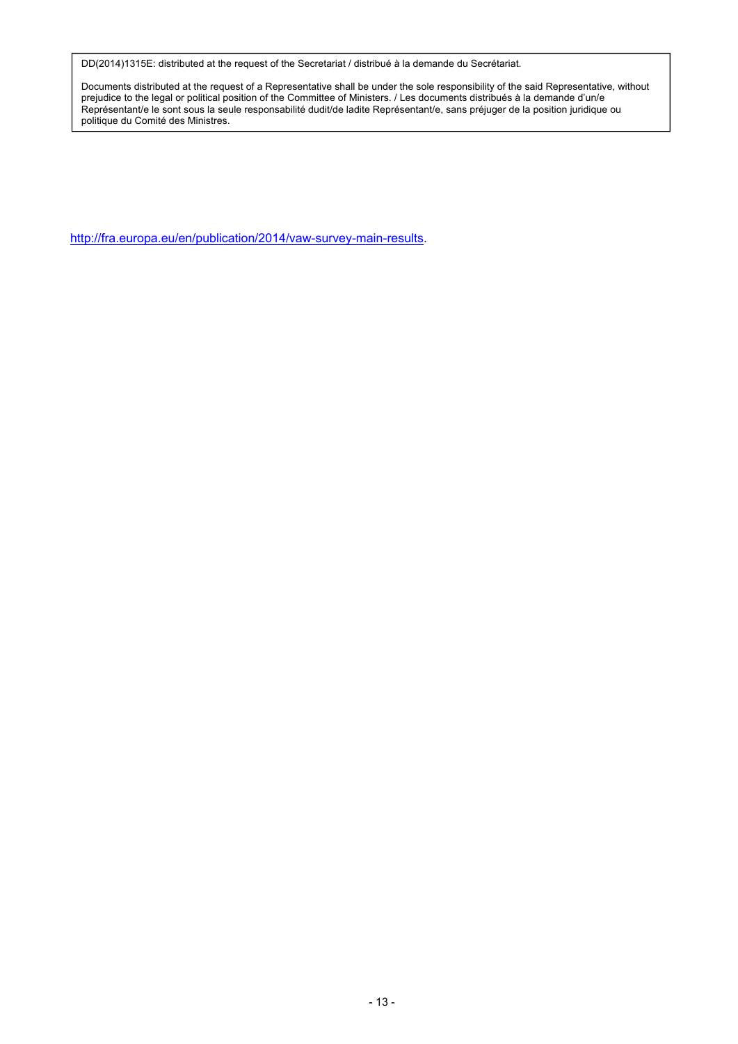Documents distributed at the request of a Representative shall be under the sole responsibility of the said Representative, without prejudice to the legal or political position of the Committee of Ministers. / Les documents distribués à la demande d'un/e Représentant/e le sont sous la seule responsabilité dudit/de ladite Représentant/e, sans préjuger de la position juridique ou politique du Comité des Ministres.

http://fra.europa.eu/en/publication/2014/vaw-survey-main-results.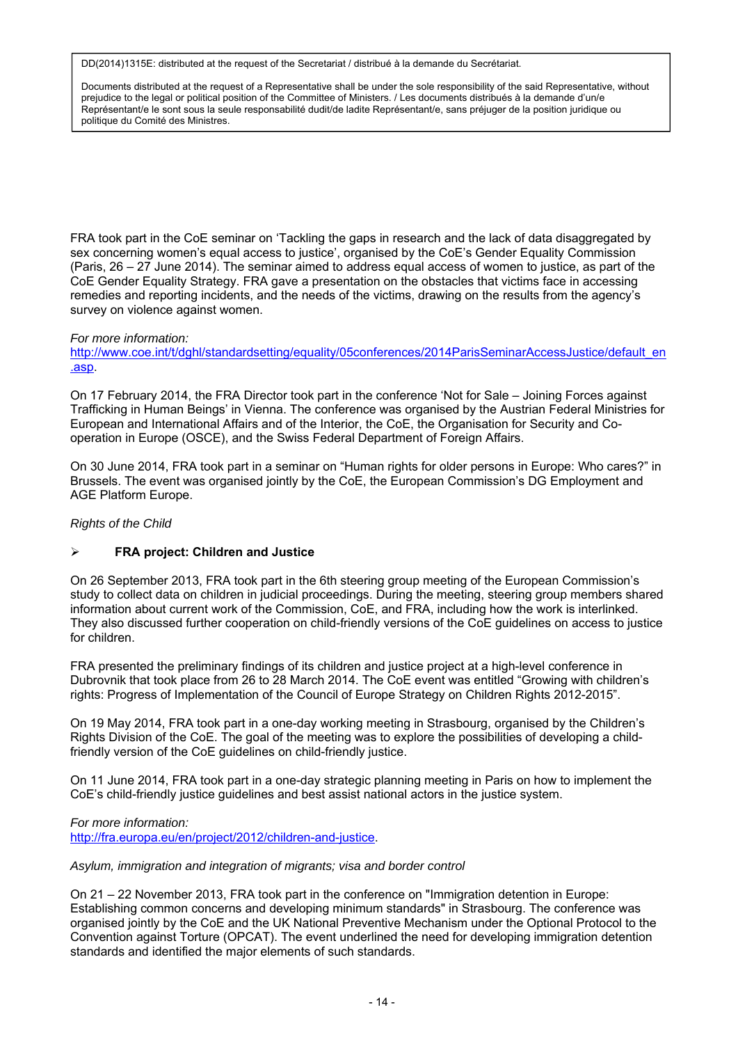Documents distributed at the request of a Representative shall be under the sole responsibility of the said Representative, without prejudice to the legal or political position of the Committee of Ministers. / Les documents distribués à la demande d'un/e Représentant/e le sont sous la seule responsabilité dudit/de ladite Représentant/e, sans préjuger de la position juridique ou politique du Comité des Ministres.

FRA took part in the CoE seminar on 'Tackling the gaps in research and the lack of data disaggregated by sex concerning women's equal access to justice', organised by the CoE's Gender Equality Commission (Paris, 26 – 27 June 2014). The seminar aimed to address equal access of women to justice, as part of the CoE Gender Equality Strategy. FRA gave a presentation on the obstacles that victims face in accessing remedies and reporting incidents, and the needs of the victims, drawing on the results from the agency's survey on violence against women.

#### *For more information:*

http://www.coe.int/t/dghl/standardsetting/equality/05conferences/2014ParisSeminarAccessJustice/default\_en .asp.

On 17 February 2014, the FRA Director took part in the conference 'Not for Sale – Joining Forces against Trafficking in Human Beings' in Vienna. The conference was organised by the Austrian Federal Ministries for European and International Affairs and of the Interior, the CoE, the Organisation for Security and Cooperation in Europe (OSCE), and the Swiss Federal Department of Foreign Affairs.

On 30 June 2014, FRA took part in a seminar on "Human rights for older persons in Europe: Who cares?" in Brussels. The event was organised jointly by the CoE, the European Commission's DG Employment and AGE Platform Europe.

#### *Rights of the Child*

## **FRA project: Children and Justice**

On 26 September 2013, FRA took part in the 6th steering group meeting of the European Commission's study to collect data on children in judicial proceedings. During the meeting, steering group members shared information about current work of the Commission, CoE, and FRA, including how the work is interlinked. They also discussed further cooperation on child-friendly versions of the CoE guidelines on access to justice for children.

FRA presented the preliminary findings of its children and justice project at a high-level conference in Dubrovnik that took place from 26 to 28 March 2014. The CoE event was entitled "Growing with children's rights: Progress of Implementation of the Council of Europe Strategy on Children Rights 2012-2015".

On 19 May 2014, FRA took part in a one-day working meeting in Strasbourg, organised by the Children's Rights Division of the CoE. The goal of the meeting was to explore the possibilities of developing a childfriendly version of the CoE guidelines on child-friendly justice.

On 11 June 2014, FRA took part in a one-day strategic planning meeting in Paris on how to implement the CoE's child-friendly justice guidelines and best assist national actors in the justice system.

#### *For more information:*

http://fra.europa.eu/en/project/2012/children-and-justice.

#### *Asylum, immigration and integration of migrants; visa and border control*

On 21 – 22 November 2013, FRA took part in the conference on "Immigration detention in Europe: Establishing common concerns and developing minimum standards" in Strasbourg. The conference was organised jointly by the CoE and the UK National Preventive Mechanism under the Optional Protocol to the Convention against Torture (OPCAT). The event underlined the need for developing immigration detention standards and identified the major elements of such standards.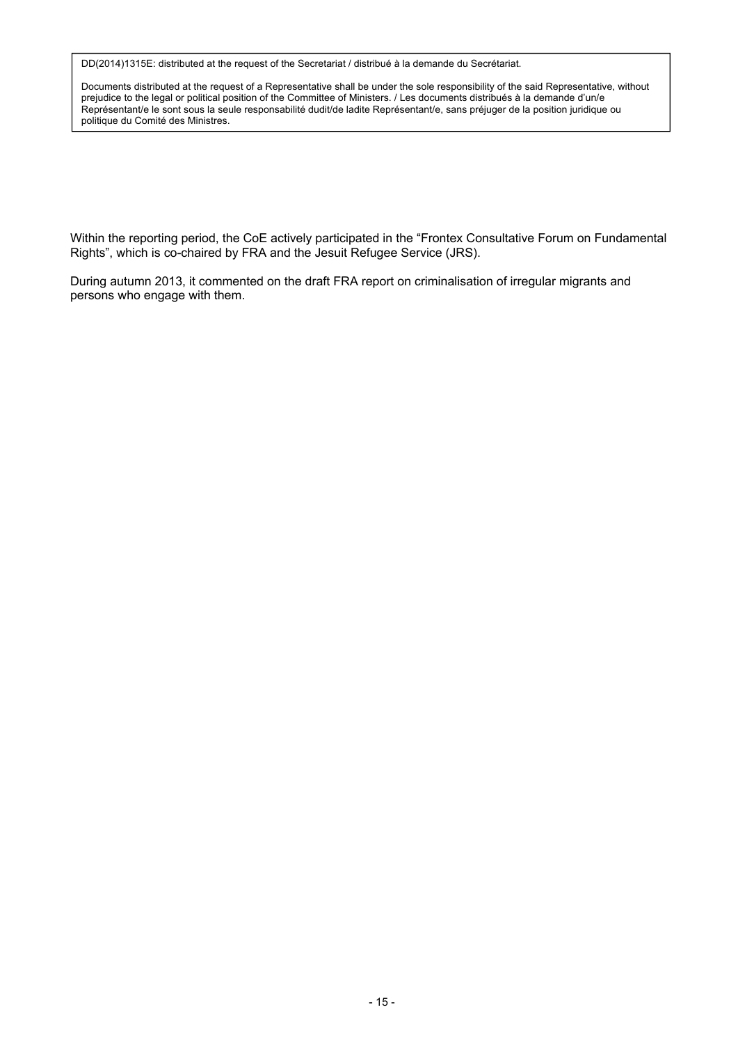Documents distributed at the request of a Representative shall be under the sole responsibility of the said Representative, without prejudice to the legal or political position of the Committee of Ministers. / Les documents distribués à la demande d'un/e Représentant/e le sont sous la seule responsabilité dudit/de ladite Représentant/e, sans préjuger de la position juridique ou politique du Comité des Ministres.

Within the reporting period, the CoE actively participated in the "Frontex Consultative Forum on Fundamental Rights", which is co-chaired by FRA and the Jesuit Refugee Service (JRS).

During autumn 2013, it commented on the draft FRA report on criminalisation of irregular migrants and persons who engage with them.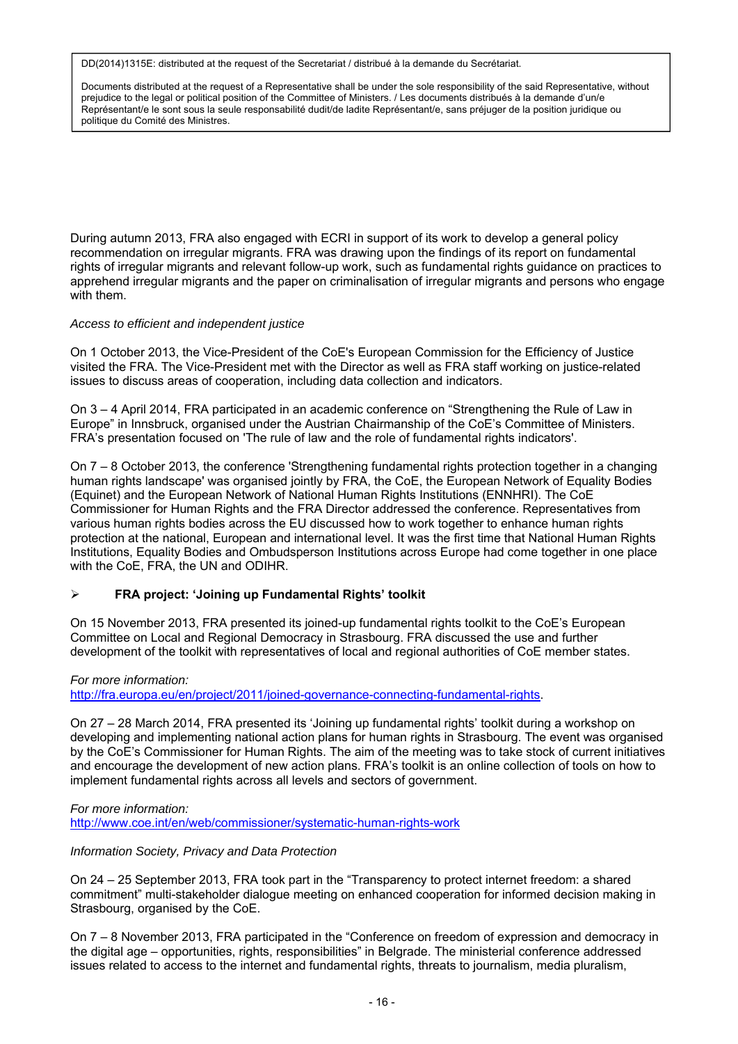Documents distributed at the request of a Representative shall be under the sole responsibility of the said Representative, without prejudice to the legal or political position of the Committee of Ministers. / Les documents distribués à la demande d'un/e Représentant/e le sont sous la seule responsabilité dudit/de ladite Représentant/e, sans préjuger de la position juridique ou politique du Comité des Ministres.

During autumn 2013, FRA also engaged with ECRI in support of its work to develop a general policy recommendation on irregular migrants. FRA was drawing upon the findings of its report on fundamental rights of irregular migrants and relevant follow-up work, such as fundamental rights guidance on practices to apprehend irregular migrants and the paper on criminalisation of irregular migrants and persons who engage with them.

#### *Access to efficient and independent justice*

On 1 October 2013, the Vice-President of the CoE's European Commission for the Efficiency of Justice visited the FRA. The Vice-President met with the Director as well as FRA staff working on justice-related issues to discuss areas of cooperation, including data collection and indicators.

On 3 – 4 April 2014, FRA participated in an academic conference on "Strengthening the Rule of Law in Europe" in Innsbruck, organised under the Austrian Chairmanship of the CoE's Committee of Ministers. FRA's presentation focused on 'The rule of law and the role of fundamental rights indicators'.

On 7 – 8 October 2013, the conference 'Strengthening fundamental rights protection together in a changing human rights landscape' was organised jointly by FRA, the CoE, the European Network of Equality Bodies (Equinet) and the European Network of National Human Rights Institutions (ENNHRI). The CoE Commissioner for Human Rights and the FRA Director addressed the conference. Representatives from various human rights bodies across the EU discussed how to work together to enhance human rights protection at the national, European and international level. It was the first time that National Human Rights Institutions, Equality Bodies and Ombudsperson Institutions across Europe had come together in one place with the CoE, FRA, the UN and ODIHR.

## **FRA project: 'Joining up Fundamental Rights' toolkit**

On 15 November 2013, FRA presented its joined-up fundamental rights toolkit to the CoE's European Committee on Local and Regional Democracy in Strasbourg. FRA discussed the use and further development of the toolkit with representatives of local and regional authorities of CoE member states.

*For more information:*  http://fra.europa.eu/en/project/2011/joined-governance-connecting-fundamental-rights.

On 27 – 28 March 2014, FRA presented its 'Joining up fundamental rights' toolkit during a workshop on developing and implementing national action plans for human rights in Strasbourg. The event was organised by the CoE's Commissioner for Human Rights. The aim of the meeting was to take stock of current initiatives and encourage the development of new action plans. FRA's toolkit is an online collection of tools on how to implement fundamental rights across all levels and sectors of government.

*For more information:*  http://www.coe.int/en/web/commissioner/systematic-human-rights-work

## *Information Society, Privacy and Data Protection*

On 24 – 25 September 2013, FRA took part in the "Transparency to protect internet freedom: a shared commitment" multi-stakeholder dialogue meeting on enhanced cooperation for informed decision making in Strasbourg, organised by the CoE.

On 7 – 8 November 2013, FRA participated in the "Conference on freedom of expression and democracy in the digital age – opportunities, rights, responsibilities" in Belgrade. The ministerial conference addressed issues related to access to the internet and fundamental rights, threats to journalism, media pluralism,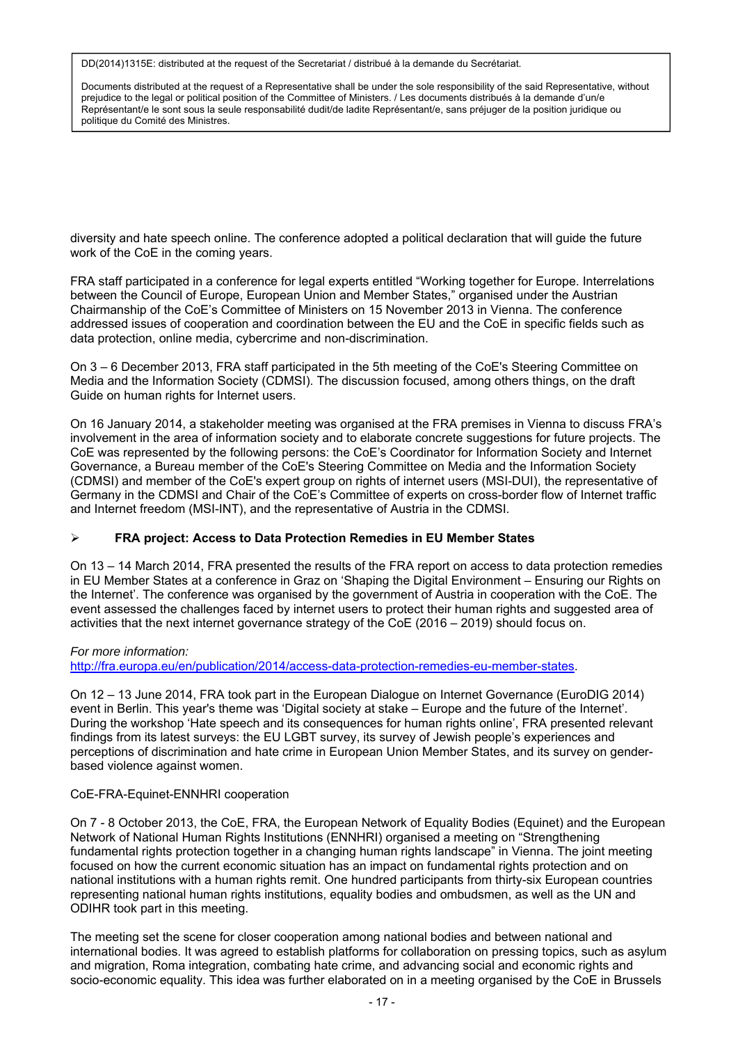Documents distributed at the request of a Representative shall be under the sole responsibility of the said Representative, without prejudice to the legal or political position of the Committee of Ministers. / Les documents distribués à la demande d'un/e Représentant/e le sont sous la seule responsabilité dudit/de ladite Représentant/e, sans préjuger de la position juridique ou politique du Comité des Ministres.

diversity and hate speech online. The conference adopted a political declaration that will guide the future work of the CoE in the coming years.

FRA staff participated in a conference for legal experts entitled "Working together for Europe. Interrelations between the Council of Europe, European Union and Member States," organised under the Austrian Chairmanship of the CoE's Committee of Ministers on 15 November 2013 in Vienna. The conference addressed issues of cooperation and coordination between the EU and the CoE in specific fields such as data protection, online media, cybercrime and non-discrimination.

On 3 – 6 December 2013, FRA staff participated in the 5th meeting of the CoE's Steering Committee on Media and the Information Society (CDMSI). The discussion focused, among others things, on the draft Guide on human rights for Internet users.

On 16 January 2014, a stakeholder meeting was organised at the FRA premises in Vienna to discuss FRA's involvement in the area of information society and to elaborate concrete suggestions for future projects. The CoE was represented by the following persons: the CoE's Coordinator for Information Society and Internet Governance, a Bureau member of the CoE's Steering Committee on Media and the Information Society (CDMSI) and member of the CoE's expert group on rights of internet users (MSI-DUI), the representative of Germany in the CDMSI and Chair of the CoE's Committee of experts on cross-border flow of Internet traffic and Internet freedom (MSI-INT), and the representative of Austria in the CDMSI.

## **FRA project: Access to Data Protection Remedies in EU Member States**

On 13 – 14 March 2014, FRA presented the results of the FRA report on access to data protection remedies in EU Member States at a conference in Graz on 'Shaping the Digital Environment – Ensuring our Rights on the Internet'. The conference was organised by the government of Austria in cooperation with the CoE. The event assessed the challenges faced by internet users to protect their human rights and suggested area of activities that the next internet governance strategy of the CoE (2016 – 2019) should focus on.

#### *For more information:*

http://fra.europa.eu/en/publication/2014/access-data-protection-remedies-eu-member-states.

On 12 – 13 June 2014, FRA took part in the European Dialogue on Internet Governance (EuroDIG 2014) event in Berlin. This year's theme was 'Digital society at stake – Europe and the future of the Internet'. During the workshop 'Hate speech and its consequences for human rights online', FRA presented relevant findings from its latest surveys: the EU LGBT survey, its survey of Jewish people's experiences and perceptions of discrimination and hate crime in European Union Member States, and its survey on genderbased violence against women.

#### CoE-FRA-Equinet-ENNHRI cooperation

On 7 - 8 October 2013, the CoE, FRA, the European Network of Equality Bodies (Equinet) and the European Network of National Human Rights Institutions (ENNHRI) organised a meeting on "Strengthening fundamental rights protection together in a changing human rights landscape" in Vienna. The joint meeting focused on how the current economic situation has an impact on fundamental rights protection and on national institutions with a human rights remit. One hundred participants from thirty-six European countries representing national human rights institutions, equality bodies and ombudsmen, as well as the UN and ODIHR took part in this meeting.

The meeting set the scene for closer cooperation among national bodies and between national and international bodies. It was agreed to establish platforms for collaboration on pressing topics, such as asylum and migration, Roma integration, combating hate crime, and advancing social and economic rights and socio-economic equality. This idea was further elaborated on in a meeting organised by the CoE in Brussels